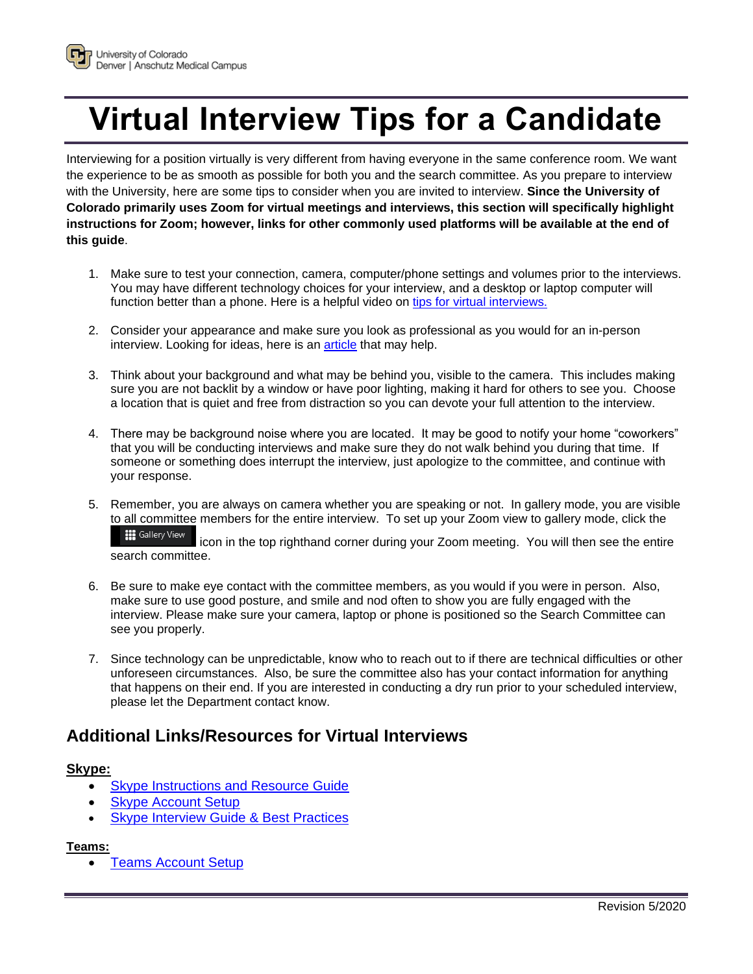

Interviewing for a position virtually is very different from having everyone in the same conference room. We want the experience to be as smooth as possible for both you and the search committee. As you prepare to interview with the University, here are some tips to consider when you are invited to interview. **Since the University of Colorado primarily uses Zoom for virtual meetings and interviews, this section will specifically highlight instructions for Zoom; however, links for other commonly used platforms will be available at the end of this guide**.

- 1. Make sure to test your connection, camera, computer/phone settings and volumes prior to the interviews. You may have different technology choices for your interview, and a desktop or laptop computer will function better than a phone. Here is a helpful video on [tips for virtual interviews.](https://youtu.be/64x880PzZ9k)
- 2. Consider your appearance and make sure you look as professional as you would for an in-person interview. Looking for ideas, here is an *article* that may help.
- 3. Think about your background and what may be behind you, visible to the camera. This includes making sure you are not backlit by a window or have poor lighting, making it hard for others to see you. Choose a location that is quiet and free from distraction so you can devote your full attention to the interview.
- 4. There may be background noise where you are located. It may be good to notify your home "coworkers" that you will be conducting interviews and make sure they do not walk behind you during that time. If someone or something does interrupt the interview, just apologize to the committee, and continue with your response.
- 5. Remember, you are always on camera whether you are speaking or not. In gallery mode, you are visible to all committee members for the entire interview. To set up your Zoom view to gallery mode, click the

**III** Gallery View icon in the top righthand corner during your Zoom meeting. You will then see the entire search committee.

- 6. Be sure to make eye contact with the committee members, as you would if you were in person. Also, make sure to use good posture, and smile and nod often to show you are fully engaged with the interview. Please make sure your camera, laptop or phone is positioned so the Search Committee can see you properly.
- 7. Since technology can be unpredictable, know who to reach out to if there are technical difficulties or other unforeseen circumstances. Also, be sure the committee also has your contact information for anything that happens on their end. If you are interested in conducting a dry run prior to your scheduled interview, please let the Department contact know.

## **Additional Links/Resources for Virtual Interviews**

## **Skype:**

- **Skype Instructions and Resource Guide**
- **Skype Account Setup**
- **[Skype Interview Guide & Best Practices](https://www.nextgeneration.ie/blog/2015/08/the-ultimate-guide-to-a-skype-interview)**

## **Teams:**

**[Teams Account Setup](https://www.onmsft.com/how-to/no-teams-no-problem-heres-how-to-join-meetings-as-a-guest-in-teams)**